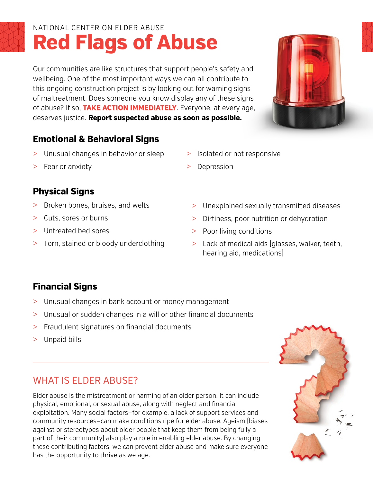# **Red Flags of Abuse** NATIONAL CENTER ON ELDER ABUSE

Our communities are like structures that support people's safety and wellbeing. One of the most important ways we can all contribute to this ongoing construction project is by looking out for warning signs of maltreatment. Does someone you know display any of these signs of abuse? If so, **TAKE ACTION IMMEDIATELY**. Everyone, at every age, deserves justice. **Report suspected abuse as soon as possible.**

# **Emotional & Behavioral Signs**

- > Unusual changes in behavior or sleep
- > Isolated or not responsive
- > Depression

> Fear or anxiety

### **Physical Signs**

- > Broken bones, bruises, and welts
- > Cuts, sores or burns
- > Untreated bed sores
- > Torn, stained or bloody underclothing
- > Unexplained sexually transmitted diseases
- > Dirtiness, poor nutrition or dehydration
- > Poor living conditions
- > Lack of medical aids (glasses, walker, teeth, hearing aid, medications)

# **Financial Signs**

- > Unusual changes in bank account or money management
- > Unusual or sudden changes in a will or other financial documents
- > Fraudulent signatures on financial documents
- > Unpaid bills

# WHAT IS FI DER ABUSE?

Elder abuse is the mistreatment or harming of an older person. It can include physical, emotional, or sexual abuse, along with neglect and financial exploitation. Many social factors—for example, a lack of support services and community resources—can make conditions ripe for elder abuse. Ageism (biases against or stereotypes about older people that keep them from being fully a part of their community) also play a role in enabling elder abuse. By changing these contributing factors, we can prevent elder abuse and make sure everyone has the opportunity to thrive as we age.